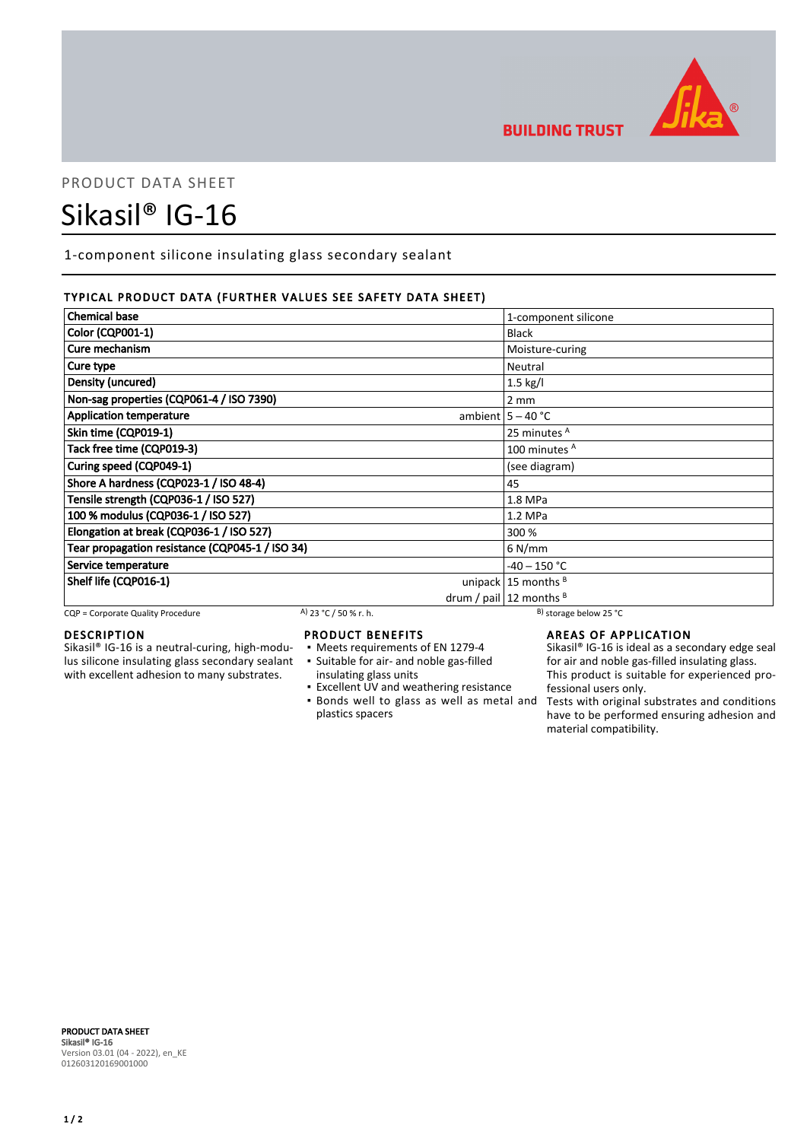

**BUILDING TRUST** 

# PRODUCT DATA SHEET

# Sikasil® IG-16

1-component silicone insulating glass secondary sealant

# TYPICAL PRODUCT DATA (FURTHER VALUES SEE SAFETY DATA SHEET)

| <b>Chemical base</b>                            | 1-component silicone          |
|-------------------------------------------------|-------------------------------|
| Color (CQP001-1)                                | <b>Black</b>                  |
| Cure mechanism                                  | Moisture-curing               |
| Cure type                                       | Neutral                       |
| Density (uncured)                               | $1.5$ kg/l                    |
| Non-sag properties (CQP061-4 / ISO 7390)        | $2 \, \text{mm}$              |
| <b>Application temperature</b>                  | ambient $ 5 - 40$ °C          |
| Skin time (CQP019-1)                            | 25 minutes <sup>A</sup>       |
| Tack free time (CQP019-3)                       | 100 minutes <sup>A</sup>      |
| Curing speed (CQP049-1)                         | (see diagram)                 |
| Shore A hardness (CQP023-1 / ISO 48-4)          | 45                            |
| Tensile strength (CQP036-1 / ISO 527)           | 1.8 MPa                       |
| 100 % modulus (CQP036-1 / ISO 527)              | $1.2$ MPa                     |
| Elongation at break (CQP036-1 / ISO 527)        | 300 %                         |
| Tear propagation resistance (CQP045-1 / ISO 34) | $6$ N/mm                      |
| Service temperature                             | $-40 - 150$ °C                |
| Shelf life (CQP016-1)                           | unipack $15$ months $B$       |
|                                                 | drum / pail $ 12$ months $ 8$ |

CQP = Corporate Quality Procedure A) 23 °C / 50 % r. h. B) storage below 25 °C

# DESCRIPTION

Sikasil® IG-16 is a neutral-curing, high-modulus silicone insulating glass secondary sealant with excellent adhesion to many substrates.

# PRODUCT BENEFITS

- Meets requirements of EN 1279-4
- Suitable for air- and noble gas-filled ▪
- insulating glass units
- Excellent UV and weathering resistance **.** Bonds well to glass as well as metal and
- plastics spacers

AREAS OF APPLICATION

Sikasil® IG-16 is ideal as a secondary edge seal for air and noble gas-filled insulating glass. This product is suitable for experienced professional users only.

Tests with original substrates and conditions have to be performed ensuring adhesion and material compatibility.